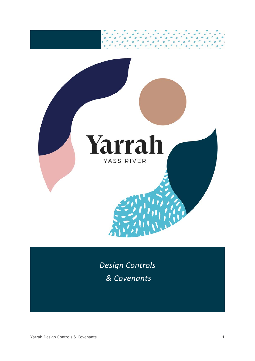

*Design Controls & Covenants*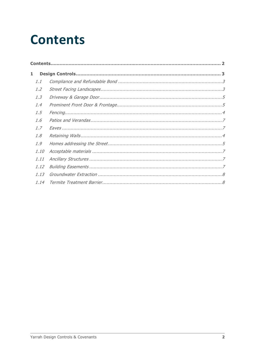# <span id="page-1-0"></span>**Contents**

| 1    |  |
|------|--|
| 1.1  |  |
| 1.2  |  |
| 1.3  |  |
| 1.4  |  |
| 1.5  |  |
| 1.6  |  |
| 1.7  |  |
| 1.8  |  |
| 1.9  |  |
| 1.10 |  |
| 1.11 |  |
| 1.12 |  |
| 1.13 |  |
| 1.14 |  |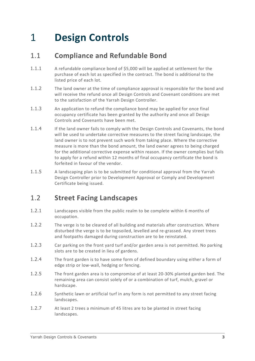## 1 **Design Controls**

## 1.1 **Compliance and Refundable Bond**

- 1.1.1 A refundable compliance bond of \$5,000 will be applied at settlement for the purchase of each lot as specified in the contract. The bond is additional to the listed price of each lot.
- 1.1.2 The land owner at the time of compliance approval is responsible for the bond and will receive the refund once all Design Controls and Covenant conditions are met to the satisfaction of the Yarrah Design Controller.
- 1.1.3 An application to refund the compliance bond may be applied for once final occupancy certificate has been granted by the authority and once all Design Controls and Covenants have been met.
- 1.1.4 If the land owner fails to comply with the Design Controls and Covenants, the bond will be used to undertake corrective measures to the street facing landscape, the land owner is to not prevent such work from taking place. Where the corrective measure is more than the bond amount, the land owner agrees to being charged for the additional corrective expense within reason. If the owner complies but fails to apply for a refund within 12 months of final occupancy certificate the bond is forfeited in favour of the vendor.
- 1.1.5 A landscaping plan is to be submitted for conditional approval from the Yarrah Design Controller prior to Development Approval or Comply and Development Certificate being issued.

## 1.2 **Street Facing Landscapes**

- 1.2.1 Landscapes visible from the public realm to be complete within 6 months of occupation.
- 1.2.2 The verge is to be cleared of all building and materials after construction. Where disturbed the verge is to be topsoiled, levelled and re-grassed. Any street trees and footpaths damaged during construction are to be reinstated.
- 1.2.3 Car parking on the front yard turf and/or garden area is not permitted. No parking slots are to be created in lieu of gardens.
- 1.2.4 The front garden is to have some form of defined boundary using either a form of edge strip or low-wall, hedging or fencing.
- 1.2.5 The front garden area is to compromise of at least 20-30% planted garden bed. The remaining area can consist solely of or a combination of turf, mulch, gravel or hardscape.
- 1.2.6 Synthetic lawn or artificial turf in any form is not permitted to any street facing landscapes.
- 1.2.7 At least 2 trees a minimum of 45 litres are to be planted in street facing landscapes.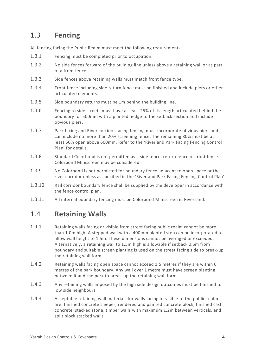## 1.3 **Fencing**

All fencing facing the Public Realm must meet the following requirements:

- 1.3.1 Fencing must be completed prior to occupation.
- 1.3.2 No side fences forward of the building line unless above a retaining wall or as part of a front fence.
- 1.3.3 Side fences above retaining walls must match front fence type.
- 1.3.4 Front fence including side return fence must be finished and include piers or other articulated elements.
- 1.3.5 Side boundary returns must be 1m behind the building line.
- 1.3.6 Fencing to side streets must have at least 25% of its length articulated behind the boundary for 500mm with a planted hedge to the setback section and include obvious piers.
- 1.3.7 Park facing and River corridor facing fencing must incorporate obvious piers and can include no more than 20% screening fence. The remaining 80% must be at least 50% open above 600mm. Refer to the 'River and Park Facing Fencing Control Plan' for details.
- 1.3.8 Standard Colorbond is not permitted as a side fence, return fence or front fence. Colorbond Miniscreen may be considered.
- 1.3.9 No Colorbond is not permitted for boundary fence adjacent to open-space or the river corridor unless as specified in the 'River and Park Facing Fencing Control Plan'
- 1.3.10 Rail corridor boundary fence shall be supplied by the developer in accordance with the fence control plan.
- 1.3.11 All internal boundary fencing must be Colorbond Miniscreen in Riversand.

## 1.4 **Retaining Walls**

- 1.4.1 Retaining walls facing or visible from street facing public realm cannot be more than 1.0m high. A stepped wall with a 400mm planted step can be incorporated to allow wall height to 1.5m. These dimensions cannot be averaged or exceeded. Alternatively, a retaining wall to 1.5m high is allowable if setback 0.6m from boundary and suitable screen planting is used on the street facing side to break-up the retaining wall form.
- 1.4.2 Retaining walls facing open space cannot exceed 1.5 metres if they are within 6 metres of the park boundary. Any wall over 1 metre must have screen planting between it and the park to break-up the retaining wall form.
- 1.4.3 Any retaining walls imposed by the high side design outcomes must be finished to low side neighbours.
- 1.4.4 Acceptable retaining wall materials for walls facing or visible to the public realm are: finished concrete sleeper, rendered and painted concrete block, finished cast concrete, stacked stone, timber walls with maximum 1.2m between verticals, and split block stacked walls.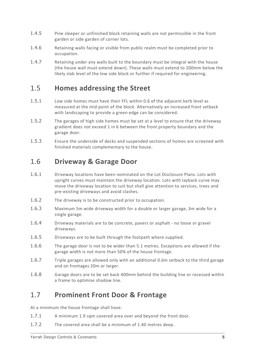- 1.4.5 Pine sleeper or unfinished block retaining walls are not permissible in the front garden or side garden of corner lots.
- 1.4.6 Retaining walls facing or visible from public realm must be completed prior to occupation.
- 1.4.7 Retaining under any walls built to the boundary must be integral with the house (the house wall must extend down). These walls must extend to 200mm below the likely slab level of the low side block or further if required for engineering.

## 1.5 **Homes addressing the Street**

- 1.5.1 Low side homes must have their FFL within 0.6 of the adjacent kerb level as measured at the mid point of the block. Alternatively an increased front setback with landscaping to provide a green edge can be considered.
- 1.5.2 The garages of high side homes must be set at a level to ensure that the driveway gradient does not exceed 1 in 6 between the front property boundary and the garage door.
- 1.5.3 Ensure the underside of decks and suspended sections of homes are screened with finished materials complementary to the house.

## 1.6 **Driveway & Garage Door**

- 1.6.1 Driveway locations have been nominated on the Lot Disclosure Plans. Lots with upright curves must maintain the driveway location. Lots with layback curve may move the driveway location to suit but shall give attention to services, trees and pre-existing driveways and avoid clashes.
- 1.6.2 The driveway is to be constructed prior to occupation.
- 1.6.3 Maximum 5m wide driveway width for a double or larger garage, 3m wide for a single garage.
- 1.6.4 Driveway materials are to be concrete, pavers or asphalt no loose or gravel driveways.
- 1.6.5 Driveways are to be built through the footpath where supplied.
- 1.6.6 The garage door is not to be wider than 5.1 metres. Exceptions are allowed if the garage width is not more than 50% of the house frontage.
- 1.6.7 Triple garages are allowed only with an additional 0.6m setback to the third garage and on frontages 20m or larger.
- 1.6.8 Garage doors are to be set back 400mm behind the building line or recessed within a frame to optimise shadow line.

## 1.7 **Prominent Front Door & Frontage**

At a minimum the house frontage shall have:

- 1.7.1 A minimum 1.9 sqm covered area over and beyond the front door.
- 1.7.2 The covered area shall be a minimum of 1.40 metres deep.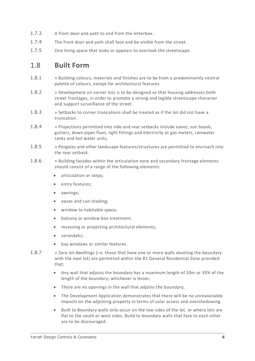- 1.7.3 A front door and path to and from the letterbox.
- 1.7.4 The front door and path shall face and be visible from the street.
- 1.7.5 One living space that looks or appears to overlook the streetscape.

#### 1.8 **Built Form**

- 1.8.1 » Building colours, materials and finishes are to be from a predominantly neutral palette of colours, except for architectural features.
- 1.8.2 » Development on corner lots is to be designed so that housing addresses both street frontages, in order to promote a strong and legible streetscape character and support surveillance of the street.
- 1.8.3 » Setbacks to corner truncations shall be treated as if the lot did not have a truncation.
- 1.8.4 » Projections permitted into side and rear setbacks include eaves, sun hoods, gutters, down pipes flues, light fittings and electricity or gas meters, rainwater tanks and hot water units.
- 1.8.5 » Pergolas and other landscape features/structures are permitted to encroach into the rear setback.
- 1.8.6 » Building facades within the articulation zone and secondary frontage elements should consist of a range of the following elements:
	- articulation or steps;
	- entry features;
	- awnings;
	- eaves and sun shading;
	- window to habitable space;
	- balcony or window box treatment;
	- recessing or projecting architectural elements;
	- verandahs;
	- bay windows or similar features.
- 1.8.7 » Zero lot dwellings (i.e. those that have one or more walls abutting the boundary with the next lot) are permitted within the R1 General Residential Zone provided that:
	- Any wall that adjoins the boundary has a maximum length of 20m or 35% of the length of the boundary, whichever is lesser;
	- There are no openings in the wall that adjoins the boundary;
	- The Development Application demonstrates that there will be no unreasonable impacts on the adjoining property in terms of solar access and overshadowing.
	- Built to Boundary walls only occur on the low sides of the lot, or where lots are flat to the south or west sides. Build to boundary walls that face to each other are to be discouraged.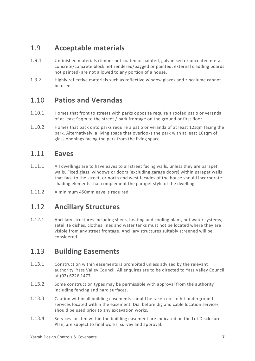## 1.9 **Acceptable materials**

- 1.9.1 Unfinished materials (timber not coated or painted, galvanised or uncoated metal, concrete/concrete block not rendered/bagged or painted, external cladding boards not painted) are not allowed to any portion of a house.
- 1.9.2 Highly reflective materials such as reflective window glazes and zincalume cannot be used.

## 1.10 **Patios and Verandas**

- 1.10.1 Homes that front to streets with parks opposite require a roofed patio or veranda of at least 9sqm to the street / park frontage on the ground or first floor.
- 1.10.2 Homes that back onto parks require a patio or veranda of at least 12sqm facing the park. Alternatively, a living space that overlooks the park with at least 10sqm of glass openings facing the park from the living space.

#### 1.11 **Eaves**

- 1.11.1 All dwellings are to have eaves to all street facing walls, unless they are parapet walls. Fixed glass, windows or doors (excluding garage doors) within parapet walls that face to the street, or north and west facades of the house should incorporate shading elements that complement the parapet style of the dwelling.
- 1.11.2 A minimum 450mm eave is required.

## 1.12 **Ancillary Structures**

1.12.1 Ancillary structures including sheds, heating and cooling plant, hot water systems, satellite dishes, clothes lines and water tanks must not be located where they are visible from any street frontage. Ancillary structures suitably screened will be considered.

## 1.13 **Building Easements**

- 1.13.1 Construction within easements is prohibited unless advised by the relevant authority, Yass Valley Council. All enquires are to be directed to Yass Valley Council at (02) 6226 1477
- 1.13.2 Some construction types may be permissible with approval from the authority including fencing and hard surfaces.
- 1.13.3 Caution within all building easements should be taken not to hit underground services located within the easement. Dial before dig and cable location services should be used prior to any excavation works.
- 1.13.4 Services located within the building easement are indicated on the Lot Disclosure Plan, are subject to final works, survey and approval.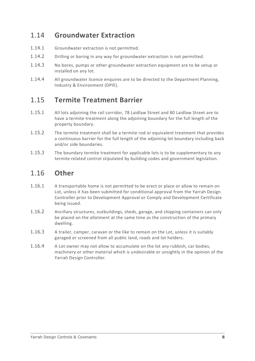## 1.14 **Groundwater Extraction**

- 1.14.1 Groundwater extraction is not permitted.
- 1.14.2 Drilling or boring in any way for groundwater extraction is not permitted.
- 1.14.3 No bores, pumps or other groundwater extraction equipment are to be setup or installed on any lot.
- 1.14.4 All groundwater licence enquires are to be directed to the Department Planning, Industry & Environment (DPIE).

## 1.15 **Termite Treatment Barrier**

- 1.15.1 All lots adjoining the rail corridor, 78 Laidlaw Street and 80 Laidlaw Street are to have a termite treatment along the adjoining boundary for the full length of the property boundary.
- 1.15.2 The termite treatment shall be a termite rod or equivalent treatment that provides a continuous barrier for the full length of the adjoining lot boundary including back and/or side boundaries.
- 1.15.3 The boundary termite treatment for applicable lots is to be supplementary to any termite related control stipulated by building codes and government legislation.

## 1.16 **Other**

- 1.16.1 A transportable home is not permitted to be erect or place or allow to remain on Lot, unless it has been submitted for conditional approval from the Yarrah Design Controller prior to Development Approval or Comply and Development Certificate being issued.
- 1.16.2 Ancillary structures, outbuildings, sheds, garage, and shipping containers can only be placed on the allotment at the same time as the construction of the primary dwelling.
- 1.16.3 A trailer, camper, caravan or the like to remain on the Lot, unless it is suitably garaged or screened from all public land, roads and lot holders.
- 1.16.4 A Lot owner may not allow to accumulate on the lot any rubbish, car bodies, machinery or other material which is undesirable or unsightly in the opinion of the Yarrah Design Controller.